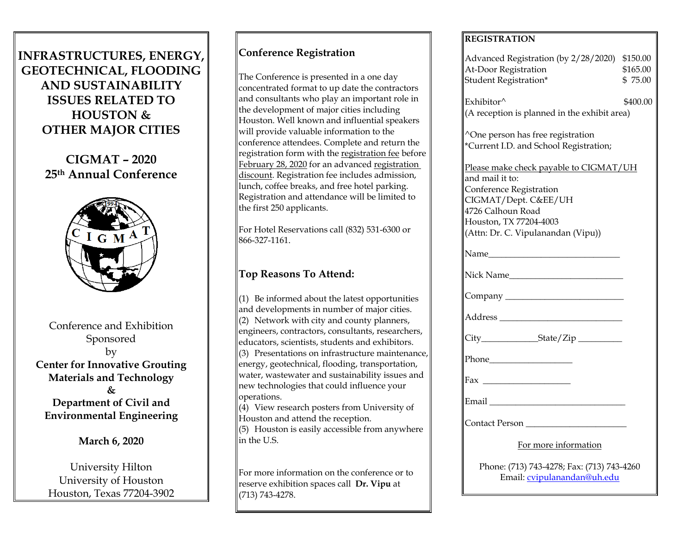# **INFRASTRUCTURES, ENERGY, GEOTECHNICAL, FLOODING AND SUSTAINABILITY ISSUES RELATED TO HOUSTON & OTHER MAJOR CITIES**

**CIGMAT – 2020 25th Annual Conference**



Conference and Exhibition Sponsored by **Center for Innovative Grouting Materials and Technology & Department of Civil and** 

**March 6, 2020**

**Environmental Engineering**

University Hilton University of Houston Houston, Texas 77204-3902

# **Conference Registration**

The Conference is presented in a one day concentrated format to up date the contractors and consultants who play an important role in the development of major cities including Houston. Well known and influential speakers will provide valuable information to the conference attendees. Complete and return the registration form with the registration fee before February 28, 2020 for an advanced registration discount. Registration fee includes admission, lunch, coffee breaks, and free hotel parking. Registration and attendance will be limited to the first 250 applicants.

For Hotel Reservations call (832) 531-6300 or 866-327-1161.

# **Top Reasons To Attend:**

 $(1)$  Be informed about the latest opportunities and developments in number of major cities.  $(2)$  Network with city and county planners, engineers, contractors, consultants, researchers, educators, scientists, students and exhibitors. (3) Presentations on infrastructure maintenance, energy, geotechnical, flooding, transportation, water, wastewater and sustainability issues and new technologies that could influence your operations.

 $(4)$  View research posters from University of Houston and attend the reception.

 $(5)$  Houston is easily accessible from anywhere in the U.S.

For more information on the conference or to reserve exhibition spaces call **Dr. Vipu** at (713) 743-4278.

### **REGISTRATION**

| Advanced Registration (by 2/28/2020) \$150.00  |          |
|------------------------------------------------|----------|
| At-Door Registration                           | \$165.00 |
| Student Registration*                          | \$75.00  |
| Exhibitor^                                     | \$400.00 |
| (A reception is planned in the exhibit area)   |          |
|                                                |          |
| ^One person has free registration              |          |
| *Current I.D. and School Registration;         |          |
| Please make check payable to CIGMAT/UH         |          |
| and mail it to:                                |          |
| Conference Registration                        |          |
| CIGMAT/Dept. C&EE/UH                           |          |
| 4726 Calhoun Road                              |          |
| Houston, TX 77204-4003                         |          |
| (Attn: Dr. C. Vipulanandan (Vipu))             |          |
|                                                |          |
| Name                                           |          |
|                                                |          |
|                                                |          |
|                                                |          |
|                                                |          |
|                                                |          |
| City___________________State/Zip _____________ |          |
|                                                |          |
|                                                |          |
|                                                |          |
|                                                |          |
|                                                |          |
| Email                                          |          |
| Contact Person                                 |          |
|                                                |          |
| For more information                           |          |
|                                                |          |
| Phone: (713) 743-4278; Fax: (713) 743-4260     |          |
| Email: cvipulanandan@uh.edu                    |          |